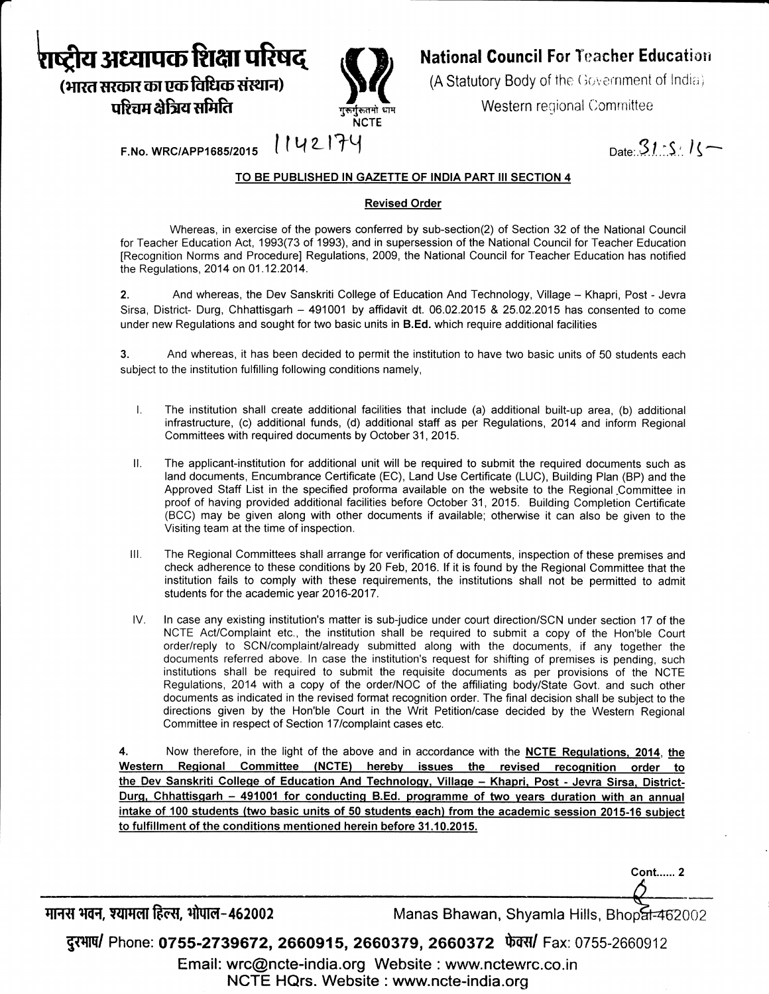

पश्चिम क्षेत्रिय समिति



# **National Council For Teacher Education**

(A Statutory Body of the Government of India)

Western regional Committee

Date:  $31.5$   $15$ 

 $F.No. WRC/APP1685/2015$   $|U2174$ 

### TO BE PUBLISHED IN GAZETTE OF INDIA PART III SECTION 4

### Revised Order

Whereas, in exercise of the powers conferred by sub-section(2) of Section 32 of the National Council for Teacher Education Act, 1993(73 of 1993), and in supersession of the National Council for Teacher Education [Recognition Norms and Procedure] Regulations, 2009, the National Council for Teacher Education has notified the Regulations, 2014 on 01.12.2014.

2. And whereas, the Dev Sanskriti College of Education And Technology, Village - Khapri, Post - Jevra Sirsa, District- Durg, Chhattisgarh - 491001 by affidavit dt. 06.02.2015 & 25.02.2015 has consented to come under new Regulations and sought for two basic units in **B.Ed.** which require additional facilities

3. And whereas, it has been decided to permit the institution to have two basic units of 50 students each subject to the institution fulfilling following conditions namely,

- $\mathsf{L}$ The institution shall create additional facilities that include (a) additional built-up area, (b) additional infrastructure, (c) additional funds, (d) additional staff as per Regulations, 2014 and inform Regional Committees with required documents by October 31, 2015.
- П. The applicant-institution for additional unit will be required to submit the required documents such as land documents, Encumbrance Certificate (EC), Land Use Certificate (LUC), Building Plan (BP) and the Approved Staff List in the specified proforma available on the website to the Regional .Committee in proof of having provided additional facilities before October 31, 2015. Building Completion Certificate (BCC) may be given along with other documents if available; othenrvise it can also be given to the Visiting team at the time of inspection.
- The Regional Committees shall arrange for verification of documents, inspection of these premises and check adherence to these conditions by 20 Feb, 2016. If it is found by the Regional Committee that the institution fails to comply with these requirements, the institutions shall not be permitted to admit students for the academic year 2016-2017. lll.
- ln case any existing institution's matter is sub-judice under court direction/SCN under section 17 of the NCTE Act/Complaint etc., the institution shall be required to submit a copy of the Hon'ble Court order/reply to SCN/complaint/already submitted along with the documents, if any together the documents referred above. ln case the institution's request for shifting of premises is pending, such institutions shall be required to submit the requisite documents as per provisions of the NCTE Regulations, 2014 with a copy of the order/NOC of the affiliating body/State Govt. and such other documents as indicated in the revised format recognition order. The final decision shall be subject to the directions given by the Hon'ble Court in the Writ Petition/case decided by the Western Regional Committee in respect of Section 17lcomplaint cases etc. IV

Now therefore, in the light of the above and in accordance with the NCTE Requlations. 2014, the Western Regional Committee (NCTE) hereby issues the revised recognition order to the Dev Sanskriti College of Education And Technology, Village - Khapri, Post - Jevra Sirsa, District-Durg, Chhattisgarh - 491001 for conducting B.Ed. programme of two years duration with an annual intake of 100 students (two basic units of 50 students each) from the academic session 2015-16 subi 4. to fulfillment of the conditions mentioned herein before 31.10.2015.

मानस भवन, श्यामला हिल्स, भोपाल-462002

Manas Bhawan, Shyamla Hills, Bhopal-462002

**Cont...... 2** 

दुरभाष/ Phone: 0755-2739672, 2660915, 2660379, 2660372 फेक्स/ Fax: 0755-2660912

Email: wrc@ncte-india.org Website : www.nctewrc.co.in NCTE HQrs. Website : www.ncte-india.org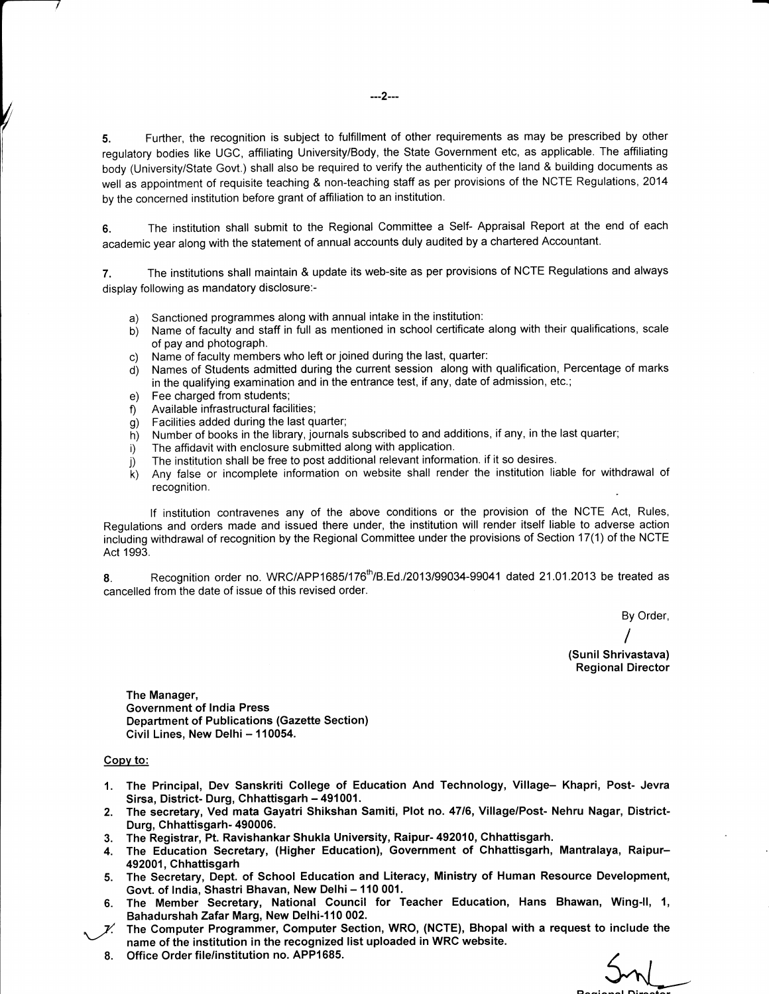5. Further, the recognition is subject to fulfillment of other requirements as may be prescribed by other regulatory bodies like UGC, affiliating University/Body, the State Government etc, as applicable. The affiliating body (University/State Govt.) shall also be required to verify the authenticity of the land & building documents as well as appointment of requisite teaching & non-teaching staff as per provisions of the NCTE Regulations, 2014 by the concerned institution before grant of affiliation to an institution.

G. The institution shall submit to the Regional Committee a Self- Appraisal Report at the end of each academic year along with the statement of annual accounts duly audited by a chartered Accountant.

7. The institutions shall maintain & update its web-site as per provisions of NCTE Regulations and always display following as mandatory disclosure:-

- a) Sanctioned programmes along with annual intake in the institution:<br>b) Name of faculty and staff in full as mentioned in school certificate
- b) Name of faculty and staff in full as mentioned in school certificate along with their qualifications, scale of pay and photograph.
- c) Name of faculty members who left or joined during the last, quarter:
- d) Names of Students admitted during the current session along with qualification, Percentage of marks in the qualifying examination and in the entrance test, if any, date of admission, etc.;
- Fee charged from students; e)
- Available infrastructural facilities; f)
- Facilities added during the last quarter;  $g)$
- Number of books in the library, journals subscribed to and additions, if any, in the last quarter, h)
- The affidavit with enclosure submitted along with application. i)
- The institution shall be free to post additional relevant information. if it so desires. i)
- Any false or incomplete information on website shall render the institution liable for withdrawal of recognition. k)

lf institution contravenes any of the above conditions or the provision of the NCTE Act, Rules, Regulations and orders made and issued there under, the institution will render itself liable to adverse action including withdrawal of recognition by the Regional Committee under the provisions of Section 17(1) of the NCTE Act 1993.

8. Recognition order no. WRC/APP1685/176 $th$ /B.Ed./2013/99034-99041 dated 21.01.2013 be treated as cancelled from the date of issue of this revised order.

By Order,

I (Sunil Shrivastava) Regional Director

The Manager, Government of India Press Department of Publications (Gazette Section) Civil Lines, New Delhi - 110054.

#### Copv to:

- 1. The Principal, Dev Sanskriti College of Education And Technology, Village- Khapri, Post- Jevra
- 2. The secretary, Ved mata Gayatri Shikshan Samiti, Plot no. 47/6, Village/Post- Nehru Nagar, District-Durg, Chhattisgarh- 490006.
- 3. The Registrar, Pt. RavishankarShukla University, Raipur- 492010, Chhattisgarh,
- 4. The Education Secretary, (Higher Education), Government of Chhattisgarh, Mantralaya, Raipur-492001, Chhattisgarh
- 5. The Secretary, Dept. of School Education and Literacy, Ministry of Human Resource Development, Govt. of India, Shastri Bhavan, New Delhi - 110 001.
- 6. The Member Secretary, National Council for Teacher Education, Hans Bhawan, Wing-Il, 1, Bahadurshah Zafar Marg, New Delhi-110 002.
- The Computer Programmer, Computer Section, WRO, (NCTE), Bhopal with a request to include the name of the institution in the recognized list uploaded in WRC website.
	- Office Order file/institution no. APP1585. 8.

 $5nl$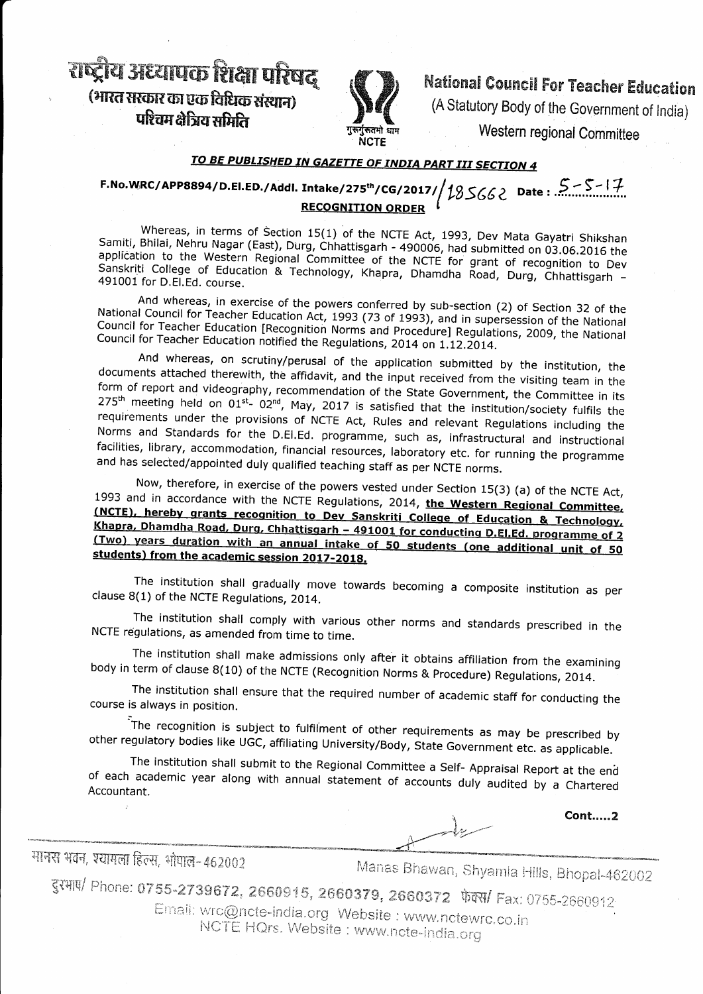राष्ट्रीय अध्यापक शिक्षा परिषद (भारत सरकार का एक विधिक संस्थान) परिचम क्षेत्रिय समिति



**National Council For Teacher Education** 

(A Statutory Body of the Government of India)

Western regional Committee

# TO BE PUBLISHED IN GAZETTE OF INDIA PART III SECTION 4

### F.No.WRC/APP8894/D.El.ED./Addl. Intake/275<sup>th</sup>/CG/2017/ 185662 Date: 5-5-17 **RECOGNITION ORDER**

Whereas, in terms of Section 15(1) of the NCTE Act, 1993, Dev Mata Gayatri Shikshan Samiti, Bhilai, Nehru Nagar (East), Durg, Chhattisgarh - 490006, had submitted on 03.06.2016 the application to the Western Regional Committee of the NCTE for grant of recognition to Dev Sanskriti College of Education & Technology, Khapra, Dhamdha Road, Durg, Chhattisgarh -491001 for D.El.Ed. course.

And whereas, in exercise of the powers conferred by sub-section (2) of Section 32 of the National Council for Teacher Education Act, 1993 (73 of 1993), and in supersession of the National Council for Teacher Education [Recognition Norms and Procedure] Regulations, 2009, the National Council for Teacher Education notified the Regulations, 2014 on 1.12.2014.

And whereas, on scrutiny/perusal of the application submitted by the institution, the documents attached therewith, the affidavit, and the input received from the visiting team in the form of report and videography, recommendation of the State Government, the Committee in its 275<sup>th</sup> meeting held on 01<sup>st</sup>- 02<sup>nd</sup>, May, 2017 is satisfied that the institution/society fulfils the requirements under the provisions of NCTE Act, Rules and relevant Regulations including the Norms and Standards for the D.El.Ed. programme, such as, infrastructural and instructional facilities, library, accommodation, financial resources, laboratory etc. for running the programme and has selected/appointed duly qualified teaching staff as per NCTE norms.

Now, therefore, in exercise of the powers vested under Section 15(3) (a) of the NCTE Act, 1993 and in accordance with the NCTE Regulations, 2014, the Western Regional Committee, (NCTE), hereby grants recognition to Dev Sanskriti College of Education & Technology, Khapra, Dhamdha Road, Durg, Chhattisgarh - 491001 for conducting D.El.Ed. programme of 2 (Two) years duration with an annual intake of 50 students (one additional unit of 50 students) from the academic session 2017-2018.

The institution shall gradually move towards becoming a composite institution as per clause 8(1) of the NCTE Regulations, 2014.

The institution shall comply with various other norms and standards prescribed in the NCTE regulations, as amended from time to time.

The institution shall make admissions only after it obtains affiliation from the examining body in term of clause 8(10) of the NCTE (Recognition Norms & Procedure) Regulations, 2014.

The institution shall ensure that the required number of academic staff for conducting the course is always in position.

The recognition is subject to fulfilment of other requirements as may be prescribed by other regulatory bodies like UGC, affiliating University/Body, State Government etc. as applicable.

The institution shall submit to the Regional Committee a Self- Appraisal Report at the end of each academic year along with annual statement of accounts duly audited by a Chartered Accountant.

मानस भवन, श्यामला हिल्स, भोपाल-462002

Manas Bhawan, Shyamla Hills, Bhopal-462002

Cont.....2

दुरभाष/ Phone: 0755-2739672, 2660915, 2660379, 2660372 फेक्स/ Fax: 0755-2660912

Email: wrc@ncte-india.org Website : www.nctewrc.co.in NCTE HQrs. Website: www.ncte-india.org